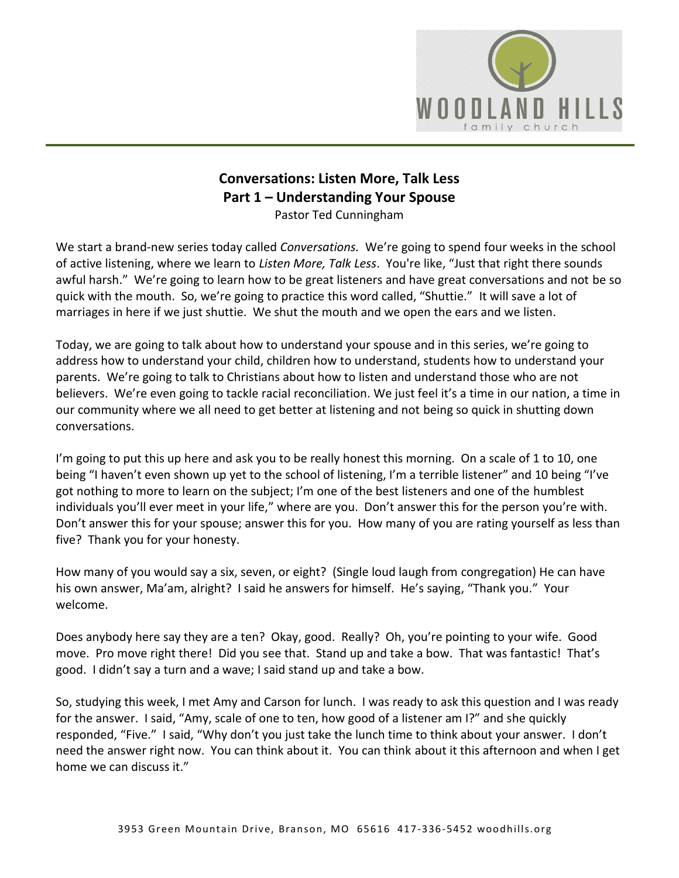

## **Conversations: Listen More, Talk Less Part 1 – Understanding Your Spouse**

Pastor Ted Cunningham

We start a brand-new series today called *Conversations.* We're going to spend four weeks in the school of active listening, where we learn to *Listen More, Talk Less*. You're like, "Just that right there sounds awful harsh." We're going to learn how to be great listeners and have great conversations and not be so quick with the mouth. So, we're going to practice this word called, "Shuttie." It will save a lot of marriages in here if we just shuttie. We shut the mouth and we open the ears and we listen.

Today, we are going to talk about how to understand your spouse and in this series, we're going to address how to understand your child, children how to understand, students how to understand your parents. We're going to talk to Christians about how to listen and understand those who are not believers. We're even going to tackle racial reconciliation. We just feel it's a time in our nation, a time in our community where we all need to get better at listening and not being so quick in shutting down conversations.

I'm going to put this up here and ask you to be really honest this morning. On a scale of 1 to 10, one being "I haven't even shown up yet to the school of listening, I'm a terrible listener" and 10 being "I've got nothing to more to learn on the subject; I'm one of the best listeners and one of the humblest individuals you'll ever meet in your life," where are you. Don't answer this for the person you're with. Don't answer this for your spouse; answer this for you. How many of you are rating yourself as less than five? Thank you for your honesty.

How many of you would say a six, seven, or eight? (Single loud laugh from congregation) He can have his own answer, Ma'am, alright? I said he answers for himself. He's saying, "Thank you." Your welcome.

Does anybody here say they are a ten? Okay, good. Really? Oh, you're pointing to your wife. Good move. Pro move right there! Did you see that. Stand up and take a bow. That was fantastic! That's good. I didn't say a turn and a wave; I said stand up and take a bow.

So, studying this week, I met Amy and Carson for lunch. I was ready to ask this question and I was ready for the answer. I said, "Amy, scale of one to ten, how good of a listener am I?" and she quickly responded, "Five." I said, "Why don't you just take the lunch time to think about your answer. I don't need the answer right now. You can think about it. You can think about it this afternoon and when I get home we can discuss it."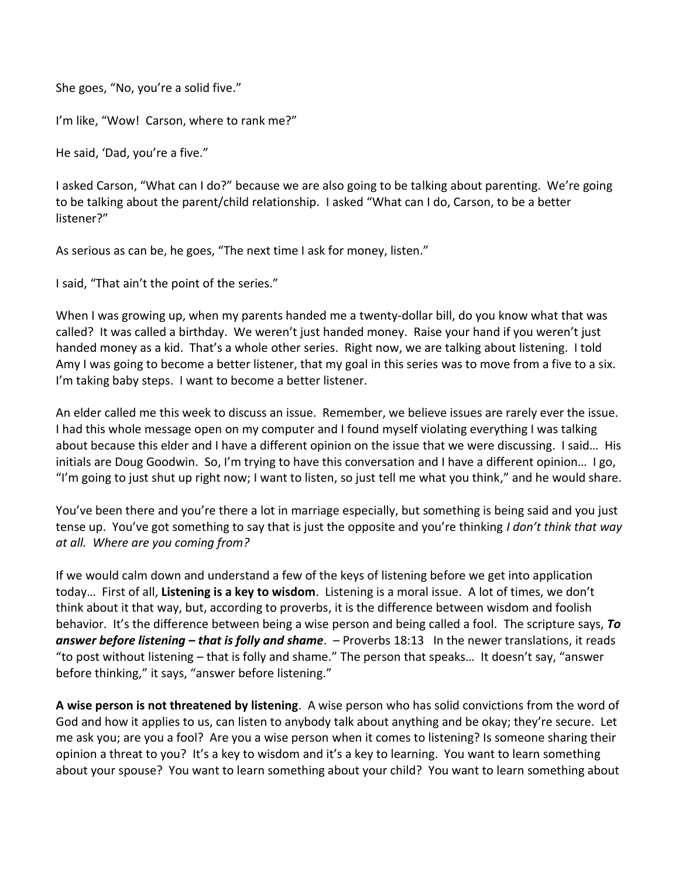She goes, "No, you're a solid five."

I'm like, "Wow! Carson, where to rank me?"

He said, 'Dad, you're a five."

I asked Carson, "What can I do?" because we are also going to be talking about parenting. We're going to be talking about the parent/child relationship. I asked "What can I do, Carson, to be a better listener?"

As serious as can be, he goes, "The next time I ask for money, listen."

I said, "That ain't the point of the series."

When I was growing up, when my parents handed me a twenty-dollar bill, do you know what that was called? It was called a birthday. We weren't just handed money. Raise your hand if you weren't just handed money as a kid. That's a whole other series. Right now, we are talking about listening. I told Amy I was going to become a better listener, that my goal in this series was to move from a five to a six. I'm taking baby steps. I want to become a better listener.

An elder called me this week to discuss an issue. Remember, we believe issues are rarely ever the issue. I had this whole message open on my computer and I found myself violating everything I was talking about because this elder and I have a different opinion on the issue that we were discussing. I said… His initials are Doug Goodwin. So, I'm trying to have this conversation and I have a different opinion… I go, "I'm going to just shut up right now; I want to listen, so just tell me what you think," and he would share.

You've been there and you're there a lot in marriage especially, but something is being said and you just tense up. You've got something to say that is just the opposite and you're thinking *I don't think that way at all. Where are you coming from?*

If we would calm down and understand a few of the keys of listening before we get into application today… First of all, **Listening is a key to wisdom**. Listening is a moral issue. A lot of times, we don't think about it that way, but, according to proverbs, it is the difference between wisdom and foolish behavior. It's the difference between being a wise person and being called a fool. The scripture says, *To answer before listening – that is folly and shame*. – Proverbs 18:13 In the newer translations, it reads "to post without listening – that is folly and shame." The person that speaks… It doesn't say, "answer before thinking," it says, "answer before listening."

**A wise person is not threatened by listening**. A wise person who has solid convictions from the word of God and how it applies to us, can listen to anybody talk about anything and be okay; they're secure. Let me ask you; are you a fool? Are you a wise person when it comes to listening? Is someone sharing their opinion a threat to you? It's a key to wisdom and it's a key to learning. You want to learn something about your spouse? You want to learn something about your child? You want to learn something about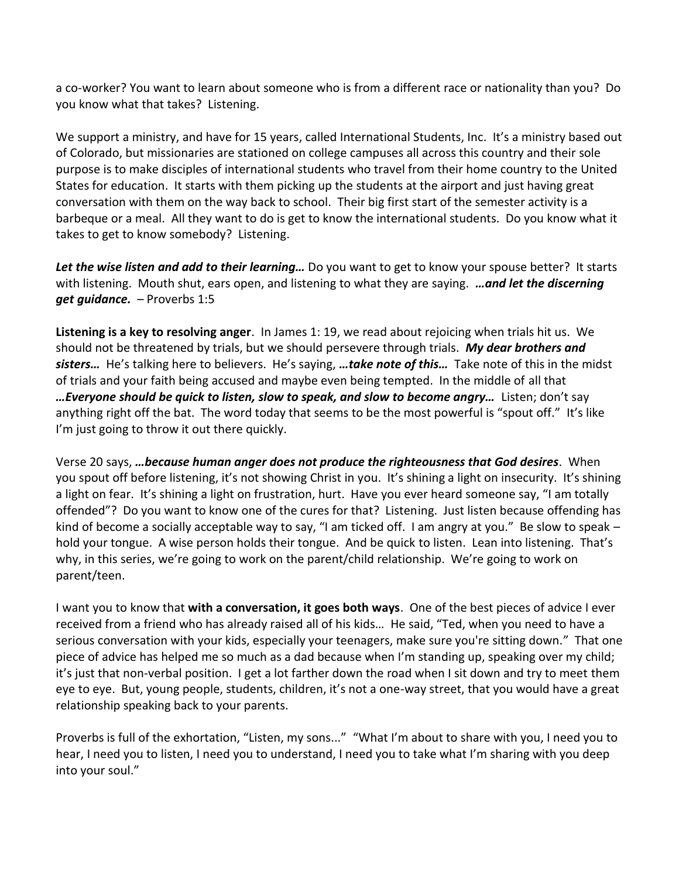a co-worker? You want to learn about someone who is from a different race or nationality than you? Do you know what that takes? Listening.

We support a ministry, and have for 15 years, called International Students, Inc. It's a ministry based out of Colorado, but missionaries are stationed on college campuses all across this country and their sole purpose is to make disciples of international students who travel from their home country to the United States for education. It starts with them picking up the students at the airport and just having great conversation with them on the way back to school. Their big first start of the semester activity is a barbeque or a meal. All they want to do is get to know the international students. Do you know what it takes to get to know somebody? Listening.

*Let the wise listen and add to their learning…* Do you want to get to know your spouse better? It starts with listening. Mouth shut, ears open, and listening to what they are saying. *…and let the discerning get guidance.* – Proverbs 1:5

**Listening is a key to resolving anger**. In James 1: 19, we read about rejoicing when trials hit us. We should not be threatened by trials, but we should persevere through trials. *My dear brothers and sisters…* He's talking here to believers. He's saying, *…take note of this…* Take note of this in the midst of trials and your faith being accused and maybe even being tempted. In the middle of all that *…Everyone should be quick to listen, slow to speak, and slow to become angry…* Listen; don't say anything right off the bat. The word today that seems to be the most powerful is "spout off." It's like I'm just going to throw it out there quickly.

Verse 20 says, *…because human anger does not produce the righteousness that God desires*. When you spout off before listening, it's not showing Christ in you. It's shining a light on insecurity. It's shining a light on fear. It's shining a light on frustration, hurt. Have you ever heard someone say, "I am totally offended"? Do you want to know one of the cures for that? Listening. Just listen because offending has kind of become a socially acceptable way to say, "I am ticked off. I am angry at you." Be slow to speak hold your tongue. A wise person holds their tongue. And be quick to listen. Lean into listening. That's why, in this series, we're going to work on the parent/child relationship. We're going to work on parent/teen.

I want you to know that **with a conversation, it goes both ways**. One of the best pieces of advice I ever received from a friend who has already raised all of his kids… He said, "Ted, when you need to have a serious conversation with your kids, especially your teenagers, make sure you're sitting down." That one piece of advice has helped me so much as a dad because when I'm standing up, speaking over my child; it's just that non-verbal position. I get a lot farther down the road when I sit down and try to meet them eye to eye. But, young people, students, children, it's not a one-way street, that you would have a great relationship speaking back to your parents.

Proverbs is full of the exhortation, "Listen, my sons..." "What I'm about to share with you, I need you to hear, I need you to listen, I need you to understand, I need you to take what I'm sharing with you deep into your soul."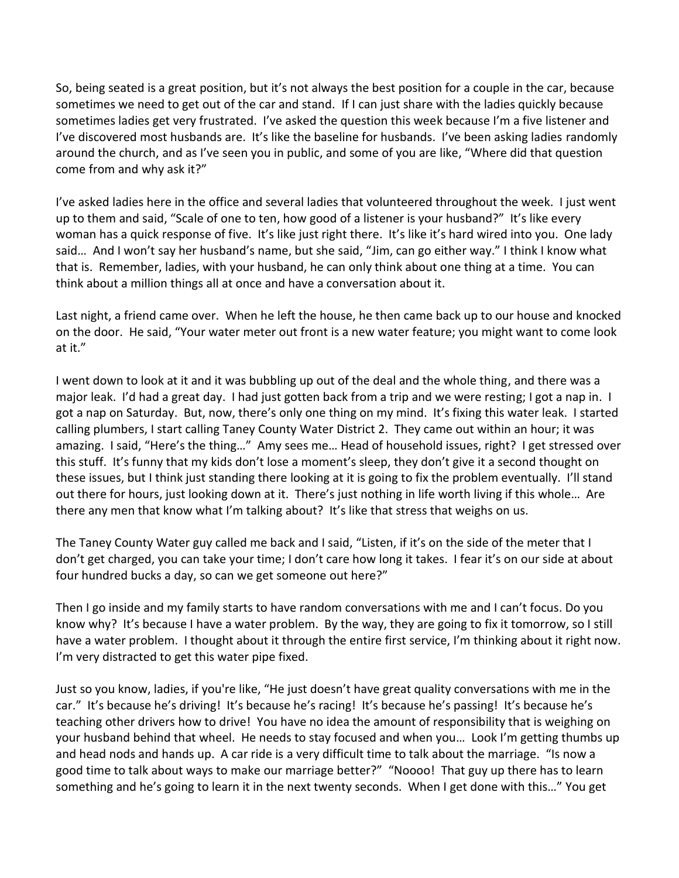So, being seated is a great position, but it's not always the best position for a couple in the car, because sometimes we need to get out of the car and stand. If I can just share with the ladies quickly because sometimes ladies get very frustrated. I've asked the question this week because I'm a five listener and I've discovered most husbands are. It's like the baseline for husbands. I've been asking ladies randomly around the church, and as I've seen you in public, and some of you are like, "Where did that question come from and why ask it?"

I've asked ladies here in the office and several ladies that volunteered throughout the week. I just went up to them and said, "Scale of one to ten, how good of a listener is your husband?" It's like every woman has a quick response of five. It's like just right there. It's like it's hard wired into you. One lady said… And I won't say her husband's name, but she said, "Jim, can go either way." I think I know what that is. Remember, ladies, with your husband, he can only think about one thing at a time. You can think about a million things all at once and have a conversation about it.

Last night, a friend came over. When he left the house, he then came back up to our house and knocked on the door. He said, "Your water meter out front is a new water feature; you might want to come look at it."

I went down to look at it and it was bubbling up out of the deal and the whole thing, and there was a major leak. I'd had a great day. I had just gotten back from a trip and we were resting; I got a nap in. I got a nap on Saturday. But, now, there's only one thing on my mind. It's fixing this water leak. I started calling plumbers, I start calling Taney County Water District 2. They came out within an hour; it was amazing. I said, "Here's the thing…" Amy sees me… Head of household issues, right? I get stressed over this stuff. It's funny that my kids don't lose a moment's sleep, they don't give it a second thought on these issues, but I think just standing there looking at it is going to fix the problem eventually. I'll stand out there for hours, just looking down at it. There's just nothing in life worth living if this whole… Are there any men that know what I'm talking about? It's like that stress that weighs on us.

The Taney County Water guy called me back and I said, "Listen, if it's on the side of the meter that I don't get charged, you can take your time; I don't care how long it takes. I fear it's on our side at about four hundred bucks a day, so can we get someone out here?"

Then I go inside and my family starts to have random conversations with me and I can't focus. Do you know why? It's because I have a water problem. By the way, they are going to fix it tomorrow, so I still have a water problem. I thought about it through the entire first service, I'm thinking about it right now. I'm very distracted to get this water pipe fixed.

Just so you know, ladies, if you're like, "He just doesn't have great quality conversations with me in the car." It's because he's driving! It's because he's racing! It's because he's passing! It's because he's teaching other drivers how to drive! You have no idea the amount of responsibility that is weighing on your husband behind that wheel. He needs to stay focused and when you… Look I'm getting thumbs up and head nods and hands up. A car ride is a very difficult time to talk about the marriage. "Is now a good time to talk about ways to make our marriage better?" "Noooo! That guy up there has to learn something and he's going to learn it in the next twenty seconds. When I get done with this…" You get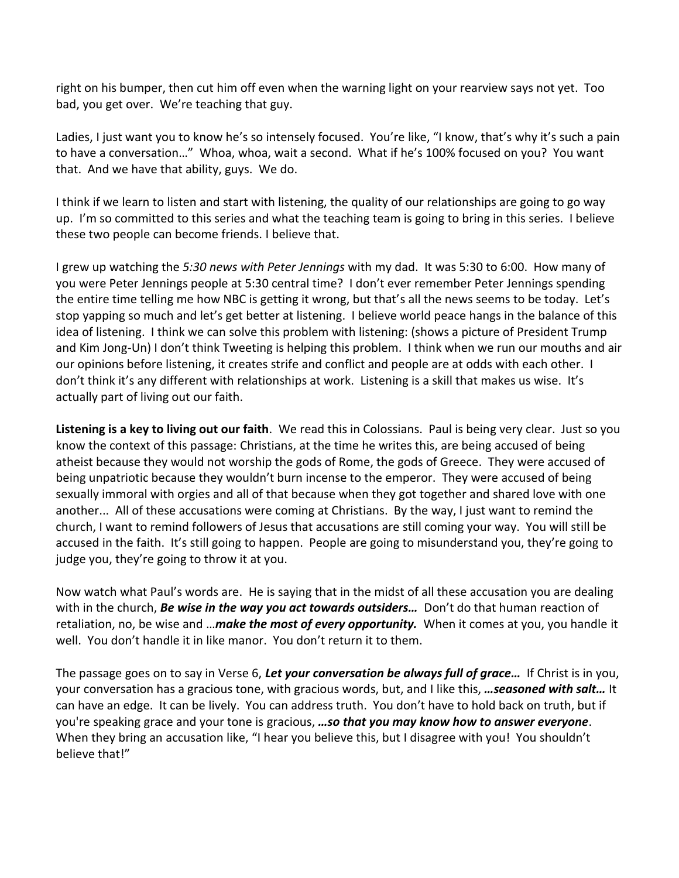right on his bumper, then cut him off even when the warning light on your rearview says not yet. Too bad, you get over. We're teaching that guy.

Ladies, I just want you to know he's so intensely focused. You're like, "I know, that's why it's such a pain to have a conversation…" Whoa, whoa, wait a second. What if he's 100% focused on you? You want that. And we have that ability, guys. We do.

I think if we learn to listen and start with listening, the quality of our relationships are going to go way up. I'm so committed to this series and what the teaching team is going to bring in this series. I believe these two people can become friends. I believe that.

I grew up watching the *5:30 news with Peter Jennings* with my dad. It was 5:30 to 6:00. How many of you were Peter Jennings people at 5:30 central time? I don't ever remember Peter Jennings spending the entire time telling me how NBC is getting it wrong, but that's all the news seems to be today. Let's stop yapping so much and let's get better at listening. I believe world peace hangs in the balance of this idea of listening. I think we can solve this problem with listening: (shows a picture of President Trump and Kim Jong-Un) I don't think Tweeting is helping this problem. I think when we run our mouths and air our opinions before listening, it creates strife and conflict and people are at odds with each other. I don't think it's any different with relationships at work. Listening is a skill that makes us wise. It's actually part of living out our faith.

**Listening is a key to living out our faith**. We read this in Colossians. Paul is being very clear. Just so you know the context of this passage: Christians, at the time he writes this, are being accused of being atheist because they would not worship the gods of Rome, the gods of Greece. They were accused of being unpatriotic because they wouldn't burn incense to the emperor. They were accused of being sexually immoral with orgies and all of that because when they got together and shared love with one another... All of these accusations were coming at Christians. By the way, I just want to remind the church, I want to remind followers of Jesus that accusations are still coming your way. You will still be accused in the faith. It's still going to happen. People are going to misunderstand you, they're going to judge you, they're going to throw it at you.

Now watch what Paul's words are. He is saying that in the midst of all these accusation you are dealing with in the church, **Be wise in the way you act towards outsiders...** Don't do that human reaction of retaliation, no, be wise and …*make the most of every opportunity.* When it comes at you, you handle it well. You don't handle it in like manor. You don't return it to them.

The passage goes on to say in Verse 6, *Let your conversation be always full of grace…* If Christ is in you, your conversation has a gracious tone, with gracious words, but, and I like this, *…seasoned with salt…* It can have an edge. It can be lively. You can address truth. You don't have to hold back on truth, but if you're speaking grace and your tone is gracious, *…so that you may know how to answer everyone*. When they bring an accusation like, "I hear you believe this, but I disagree with you! You shouldn't believe that!"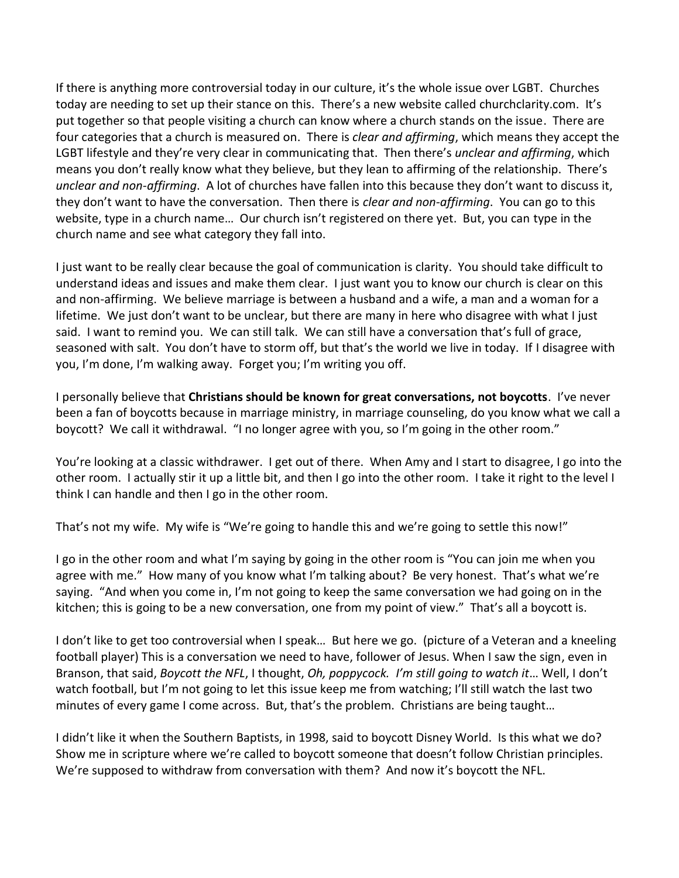If there is anything more controversial today in our culture, it's the whole issue over LGBT. Churches today are needing to set up their stance on this. There's a new website called churchclarity.com. It's put together so that people visiting a church can know where a church stands on the issue. There are four categories that a church is measured on. There is *clear and affirming*, which means they accept the LGBT lifestyle and they're very clear in communicating that. Then there's *unclear and affirming*, which means you don't really know what they believe, but they lean to affirming of the relationship. There's *unclear and non-affirming*. A lot of churches have fallen into this because they don't want to discuss it, they don't want to have the conversation. Then there is *clear and non-affirming*. You can go to this website, type in a church name… Our church isn't registered on there yet. But, you can type in the church name and see what category they fall into.

I just want to be really clear because the goal of communication is clarity. You should take difficult to understand ideas and issues and make them clear. I just want you to know our church is clear on this and non-affirming. We believe marriage is between a husband and a wife, a man and a woman for a lifetime. We just don't want to be unclear, but there are many in here who disagree with what I just said. I want to remind you. We can still talk. We can still have a conversation that's full of grace, seasoned with salt. You don't have to storm off, but that's the world we live in today. If I disagree with you, I'm done, I'm walking away. Forget you; I'm writing you off.

I personally believe that **Christians should be known for great conversations, not boycotts**. I've never been a fan of boycotts because in marriage ministry, in marriage counseling, do you know what we call a boycott? We call it withdrawal. "I no longer agree with you, so I'm going in the other room."

You're looking at a classic withdrawer. I get out of there. When Amy and I start to disagree, I go into the other room. I actually stir it up a little bit, and then I go into the other room. I take it right to the level I think I can handle and then I go in the other room.

That's not my wife. My wife is "We're going to handle this and we're going to settle this now!"

I go in the other room and what I'm saying by going in the other room is "You can join me when you agree with me." How many of you know what I'm talking about? Be very honest. That's what we're saying. "And when you come in, I'm not going to keep the same conversation we had going on in the kitchen; this is going to be a new conversation, one from my point of view." That's all a boycott is.

I don't like to get too controversial when I speak… But here we go. (picture of a Veteran and a kneeling football player) This is a conversation we need to have, follower of Jesus. When I saw the sign, even in Branson, that said, *Boycott the NFL*, I thought, *Oh, poppycock. I'm still going to watch it*… Well, I don't watch football, but I'm not going to let this issue keep me from watching; I'll still watch the last two minutes of every game I come across. But, that's the problem. Christians are being taught…

I didn't like it when the Southern Baptists, in 1998, said to boycott Disney World. Is this what we do? Show me in scripture where we're called to boycott someone that doesn't follow Christian principles. We're supposed to withdraw from conversation with them? And now it's boycott the NFL.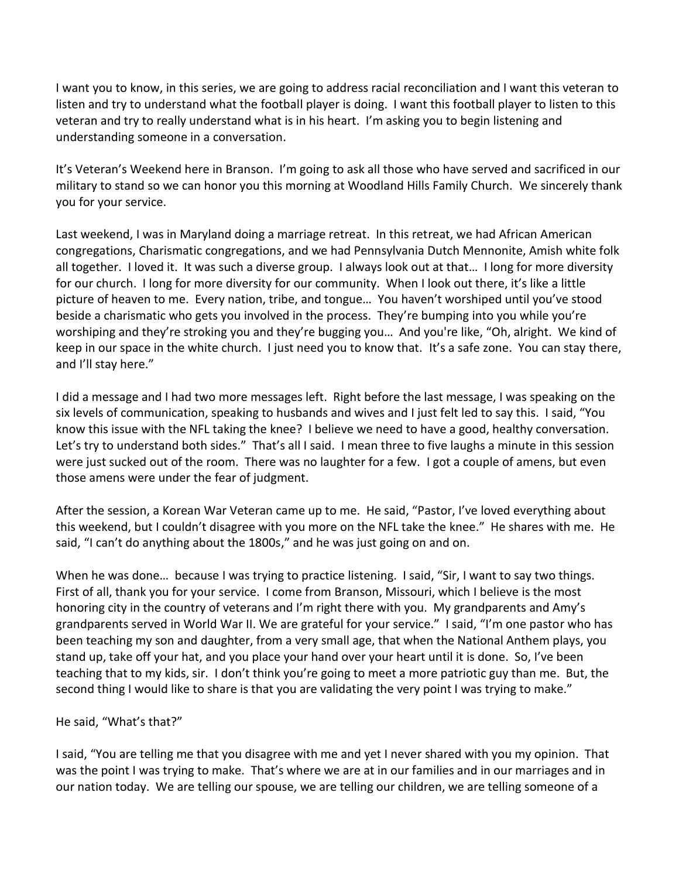I want you to know, in this series, we are going to address racial reconciliation and I want this veteran to listen and try to understand what the football player is doing. I want this football player to listen to this veteran and try to really understand what is in his heart. I'm asking you to begin listening and understanding someone in a conversation.

It's Veteran's Weekend here in Branson. I'm going to ask all those who have served and sacrificed in our military to stand so we can honor you this morning at Woodland Hills Family Church. We sincerely thank you for your service.

Last weekend, I was in Maryland doing a marriage retreat. In this retreat, we had African American congregations, Charismatic congregations, and we had Pennsylvania Dutch Mennonite, Amish white folk all together. I loved it. It was such a diverse group. I always look out at that… I long for more diversity for our church. I long for more diversity for our community. When I look out there, it's like a little picture of heaven to me. Every nation, tribe, and tongue… You haven't worshiped until you've stood beside a charismatic who gets you involved in the process. They're bumping into you while you're worshiping and they're stroking you and they're bugging you… And you're like, "Oh, alright. We kind of keep in our space in the white church. I just need you to know that. It's a safe zone. You can stay there, and I'll stay here."

I did a message and I had two more messages left. Right before the last message, I was speaking on the six levels of communication, speaking to husbands and wives and I just felt led to say this. I said, "You know this issue with the NFL taking the knee? I believe we need to have a good, healthy conversation. Let's try to understand both sides." That's all I said. I mean three to five laughs a minute in this session were just sucked out of the room. There was no laughter for a few. I got a couple of amens, but even those amens were under the fear of judgment.

After the session, a Korean War Veteran came up to me. He said, "Pastor, I've loved everything about this weekend, but I couldn't disagree with you more on the NFL take the knee." He shares with me. He said, "I can't do anything about the 1800s," and he was just going on and on.

When he was done... because I was trying to practice listening. I said, "Sir, I want to say two things. First of all, thank you for your service. I come from Branson, Missouri, which I believe is the most honoring city in the country of veterans and I'm right there with you. My grandparents and Amy's grandparents served in World War II. We are grateful for your service." I said, "I'm one pastor who has been teaching my son and daughter, from a very small age, that when the National Anthem plays, you stand up, take off your hat, and you place your hand over your heart until it is done. So, I've been teaching that to my kids, sir. I don't think you're going to meet a more patriotic guy than me. But, the second thing I would like to share is that you are validating the very point I was trying to make."

He said, "What's that?"

I said, "You are telling me that you disagree with me and yet I never shared with you my opinion. That was the point I was trying to make. That's where we are at in our families and in our marriages and in our nation today. We are telling our spouse, we are telling our children, we are telling someone of a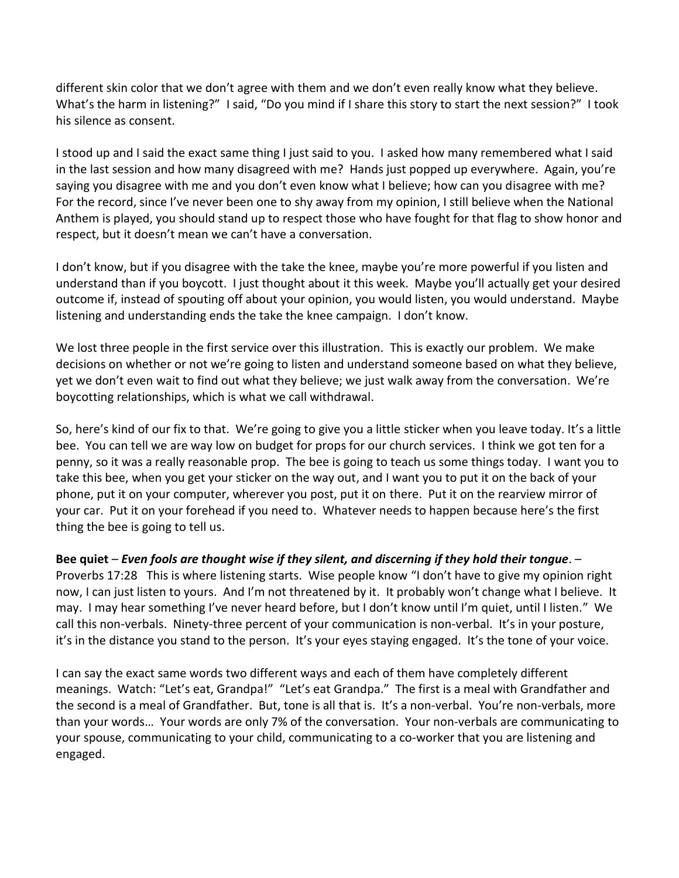different skin color that we don't agree with them and we don't even really know what they believe. What's the harm in listening?" I said, "Do you mind if I share this story to start the next session?" I took his silence as consent.

I stood up and I said the exact same thing I just said to you. I asked how many remembered what I said in the last session and how many disagreed with me? Hands just popped up everywhere. Again, you're saying you disagree with me and you don't even know what I believe; how can you disagree with me? For the record, since I've never been one to shy away from my opinion, I still believe when the National Anthem is played, you should stand up to respect those who have fought for that flag to show honor and respect, but it doesn't mean we can't have a conversation.

I don't know, but if you disagree with the take the knee, maybe you're more powerful if you listen and understand than if you boycott. I just thought about it this week. Maybe you'll actually get your desired outcome if, instead of spouting off about your opinion, you would listen, you would understand. Maybe listening and understanding ends the take the knee campaign. I don't know.

We lost three people in the first service over this illustration. This is exactly our problem. We make decisions on whether or not we're going to listen and understand someone based on what they believe, yet we don't even wait to find out what they believe; we just walk away from the conversation. We're boycotting relationships, which is what we call withdrawal.

So, here's kind of our fix to that. We're going to give you a little sticker when you leave today. It's a little bee. You can tell we are way low on budget for props for our church services. I think we got ten for a penny, so it was a really reasonable prop. The bee is going to teach us some things today. I want you to take this bee, when you get your sticker on the way out, and I want you to put it on the back of your phone, put it on your computer, wherever you post, put it on there. Put it on the rearview mirror of your car. Put it on your forehead if you need to. Whatever needs to happen because here's the first thing the bee is going to tell us.

**Bee quiet** – *Even fools are thought wise if they silent, and discerning if they hold their tongue*. – Proverbs 17:28 This is where listening starts. Wise people know "I don't have to give my opinion right now, I can just listen to yours. And I'm not threatened by it. It probably won't change what I believe. It may. I may hear something I've never heard before, but I don't know until I'm quiet, until I listen." We call this non-verbals. Ninety-three percent of your communication is non-verbal. It's in your posture, it's in the distance you stand to the person. It's your eyes staying engaged. It's the tone of your voice.

I can say the exact same words two different ways and each of them have completely different meanings. Watch: "Let's eat, Grandpa!" "Let's eat Grandpa." The first is a meal with Grandfather and the second is a meal of Grandfather. But, tone is all that is. It's a non-verbal. You're non-verbals, more than your words… Your words are only 7% of the conversation. Your non-verbals are communicating to your spouse, communicating to your child, communicating to a co-worker that you are listening and engaged.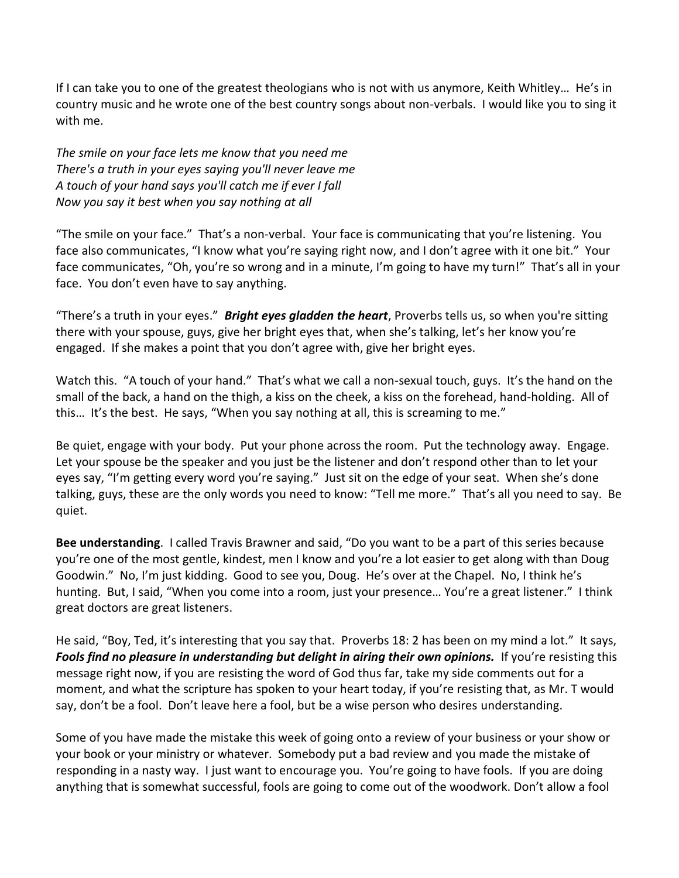If I can take you to one of the greatest theologians who is not with us anymore, Keith Whitley… He's in country music and he wrote one of the best country songs about non-verbals. I would like you to sing it with me.

*The smile on your face lets me know that you need me There's a truth in your eyes saying you'll never leave me A touch of your hand says you'll catch me if ever I fall Now you say it best when you say nothing at all* 

"The smile on your face." That's a non-verbal. Your face is communicating that you're listening. You face also communicates, "I know what you're saying right now, and I don't agree with it one bit." Your face communicates, "Oh, you're so wrong and in a minute, I'm going to have my turn!" That's all in your face. You don't even have to say anything.

"There's a truth in your eyes." *Bright eyes gladden the heart*, Proverbs tells us, so when you're sitting there with your spouse, guys, give her bright eyes that, when she's talking, let's her know you're engaged. If she makes a point that you don't agree with, give her bright eyes.

Watch this. "A touch of your hand." That's what we call a non-sexual touch, guys. It's the hand on the small of the back, a hand on the thigh, a kiss on the cheek, a kiss on the forehead, hand-holding. All of this… It's the best. He says, "When you say nothing at all, this is screaming to me."

Be quiet, engage with your body. Put your phone across the room. Put the technology away. Engage. Let your spouse be the speaker and you just be the listener and don't respond other than to let your eyes say, "I'm getting every word you're saying." Just sit on the edge of your seat. When she's done talking, guys, these are the only words you need to know: "Tell me more." That's all you need to say. Be quiet.

**Bee understanding**. I called Travis Brawner and said, "Do you want to be a part of this series because you're one of the most gentle, kindest, men I know and you're a lot easier to get along with than Doug Goodwin." No, I'm just kidding. Good to see you, Doug. He's over at the Chapel. No, I think he's hunting. But, I said, "When you come into a room, just your presence… You're a great listener." I think great doctors are great listeners.

He said, "Boy, Ted, it's interesting that you say that. Proverbs 18: 2 has been on my mind a lot." It says, *Fools find no pleasure in understanding but delight in airing their own opinions.* If you're resisting this message right now, if you are resisting the word of God thus far, take my side comments out for a moment, and what the scripture has spoken to your heart today, if you're resisting that, as Mr. T would say, don't be a fool. Don't leave here a fool, but be a wise person who desires understanding.

Some of you have made the mistake this week of going onto a review of your business or your show or your book or your ministry or whatever. Somebody put a bad review and you made the mistake of responding in a nasty way. I just want to encourage you. You're going to have fools. If you are doing anything that is somewhat successful, fools are going to come out of the woodwork. Don't allow a fool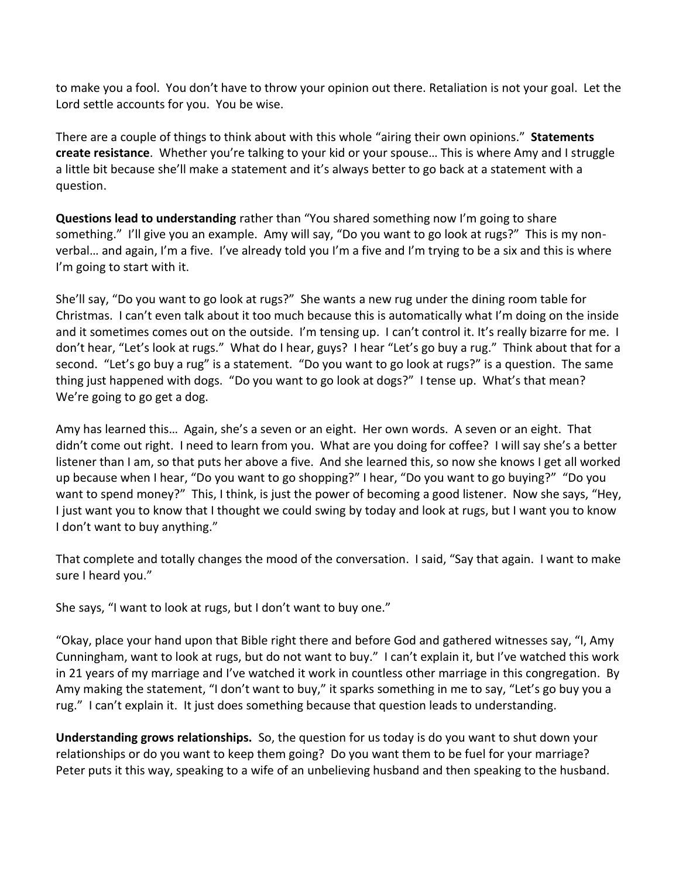to make you a fool. You don't have to throw your opinion out there. Retaliation is not your goal. Let the Lord settle accounts for you. You be wise.

There are a couple of things to think about with this whole "airing their own opinions." **Statements create resistance**. Whether you're talking to your kid or your spouse… This is where Amy and I struggle a little bit because she'll make a statement and it's always better to go back at a statement with a question.

**Questions lead to understanding** rather than "You shared something now I'm going to share something." I'll give you an example. Amy will say, "Do you want to go look at rugs?" This is my nonverbal… and again, I'm a five. I've already told you I'm a five and I'm trying to be a six and this is where I'm going to start with it.

She'll say, "Do you want to go look at rugs?" She wants a new rug under the dining room table for Christmas. I can't even talk about it too much because this is automatically what I'm doing on the inside and it sometimes comes out on the outside. I'm tensing up. I can't control it. It's really bizarre for me. I don't hear, "Let's look at rugs." What do I hear, guys? I hear "Let's go buy a rug." Think about that for a second. "Let's go buy a rug" is a statement. "Do you want to go look at rugs?" is a question. The same thing just happened with dogs. "Do you want to go look at dogs?" I tense up. What's that mean? We're going to go get a dog.

Amy has learned this… Again, she's a seven or an eight. Her own words. A seven or an eight. That didn't come out right. I need to learn from you. What are you doing for coffee? I will say she's a better listener than I am, so that puts her above a five. And she learned this, so now she knows I get all worked up because when I hear, "Do you want to go shopping?" I hear, "Do you want to go buying?" "Do you want to spend money?" This, I think, is just the power of becoming a good listener. Now she says, "Hey, I just want you to know that I thought we could swing by today and look at rugs, but I want you to know I don't want to buy anything."

That complete and totally changes the mood of the conversation. I said, "Say that again. I want to make sure I heard you."

She says, "I want to look at rugs, but I don't want to buy one."

"Okay, place your hand upon that Bible right there and before God and gathered witnesses say, "I, Amy Cunningham, want to look at rugs, but do not want to buy." I can't explain it, but I've watched this work in 21 years of my marriage and I've watched it work in countless other marriage in this congregation. By Amy making the statement, "I don't want to buy," it sparks something in me to say, "Let's go buy you a rug." I can't explain it. It just does something because that question leads to understanding.

**Understanding grows relationships.** So, the question for us today is do you want to shut down your relationships or do you want to keep them going? Do you want them to be fuel for your marriage? Peter puts it this way, speaking to a wife of an unbelieving husband and then speaking to the husband.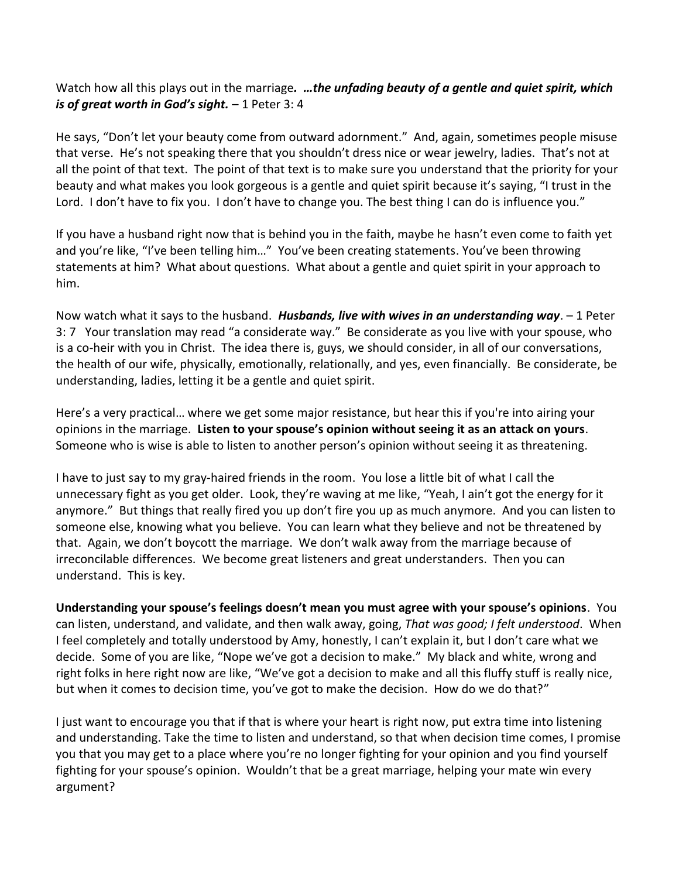## Watch how all this plays out in the marriage*. …the unfading beauty of a gentle and quiet spirit, which is of great worth in God's sight.* – 1 Peter 3: 4

He says, "Don't let your beauty come from outward adornment." And, again, sometimes people misuse that verse. He's not speaking there that you shouldn't dress nice or wear jewelry, ladies. That's not at all the point of that text. The point of that text is to make sure you understand that the priority for your beauty and what makes you look gorgeous is a gentle and quiet spirit because it's saying, "I trust in the Lord. I don't have to fix you. I don't have to change you. The best thing I can do is influence you."

If you have a husband right now that is behind you in the faith, maybe he hasn't even come to faith yet and you're like, "I've been telling him…" You've been creating statements. You've been throwing statements at him? What about questions. What about a gentle and quiet spirit in your approach to him.

Now watch what it says to the husband. *Husbands, live with wives in an understanding way*. – 1 Peter 3: 7 Your translation may read "a considerate way." Be considerate as you live with your spouse, who is a co-heir with you in Christ. The idea there is, guys, we should consider, in all of our conversations, the health of our wife, physically, emotionally, relationally, and yes, even financially. Be considerate, be understanding, ladies, letting it be a gentle and quiet spirit.

Here's a very practical… where we get some major resistance, but hear this if you're into airing your opinions in the marriage. **Listen to your spouse's opinion without seeing it as an attack on yours**. Someone who is wise is able to listen to another person's opinion without seeing it as threatening.

I have to just say to my gray-haired friends in the room. You lose a little bit of what I call the unnecessary fight as you get older. Look, they're waving at me like, "Yeah, I ain't got the energy for it anymore." But things that really fired you up don't fire you up as much anymore. And you can listen to someone else, knowing what you believe. You can learn what they believe and not be threatened by that. Again, we don't boycott the marriage. We don't walk away from the marriage because of irreconcilable differences. We become great listeners and great understanders. Then you can understand. This is key.

**Understanding your spouse's feelings doesn't mean you must agree with your spouse's opinions**. You can listen, understand, and validate, and then walk away, going, *That was good; I felt understood*. When I feel completely and totally understood by Amy, honestly, I can't explain it, but I don't care what we decide. Some of you are like, "Nope we've got a decision to make." My black and white, wrong and right folks in here right now are like, "We've got a decision to make and all this fluffy stuff is really nice, but when it comes to decision time, you've got to make the decision. How do we do that?"

I just want to encourage you that if that is where your heart is right now, put extra time into listening and understanding. Take the time to listen and understand, so that when decision time comes, I promise you that you may get to a place where you're no longer fighting for your opinion and you find yourself fighting for your spouse's opinion. Wouldn't that be a great marriage, helping your mate win every argument?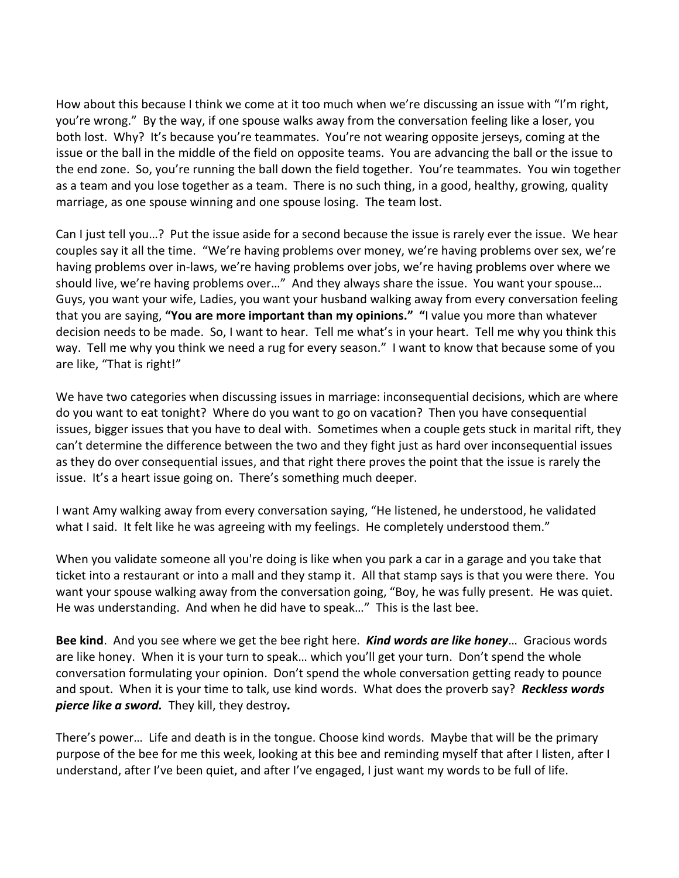How about this because I think we come at it too much when we're discussing an issue with "I'm right, you're wrong." By the way, if one spouse walks away from the conversation feeling like a loser, you both lost. Why? It's because you're teammates. You're not wearing opposite jerseys, coming at the issue or the ball in the middle of the field on opposite teams. You are advancing the ball or the issue to the end zone. So, you're running the ball down the field together. You're teammates. You win together as a team and you lose together as a team. There is no such thing, in a good, healthy, growing, quality marriage, as one spouse winning and one spouse losing. The team lost.

Can I just tell you…? Put the issue aside for a second because the issue is rarely ever the issue. We hear couples say it all the time. "We're having problems over money, we're having problems over sex, we're having problems over in-laws, we're having problems over jobs, we're having problems over where we should live, we're having problems over…" And they always share the issue. You want your spouse… Guys, you want your wife, Ladies, you want your husband walking away from every conversation feeling that you are saying, **"You are more important than my opinions." "**I value you more than whatever decision needs to be made. So, I want to hear. Tell me what's in your heart. Tell me why you think this way. Tell me why you think we need a rug for every season." I want to know that because some of you are like, "That is right!"

We have two categories when discussing issues in marriage: inconsequential decisions, which are where do you want to eat tonight? Where do you want to go on vacation? Then you have consequential issues, bigger issues that you have to deal with. Sometimes when a couple gets stuck in marital rift, they can't determine the difference between the two and they fight just as hard over inconsequential issues as they do over consequential issues, and that right there proves the point that the issue is rarely the issue. It's a heart issue going on. There's something much deeper.

I want Amy walking away from every conversation saying, "He listened, he understood, he validated what I said. It felt like he was agreeing with my feelings. He completely understood them."

When you validate someone all you're doing is like when you park a car in a garage and you take that ticket into a restaurant or into a mall and they stamp it. All that stamp says is that you were there. You want your spouse walking away from the conversation going, "Boy, he was fully present. He was quiet. He was understanding. And when he did have to speak…" This is the last bee.

**Bee kind**. And you see where we get the bee right here. *Kind words are like honey*… Gracious words are like honey. When it is your turn to speak… which you'll get your turn. Don't spend the whole conversation formulating your opinion. Don't spend the whole conversation getting ready to pounce and spout. When it is your time to talk, use kind words. What does the proverb say? *Reckless words pierce like a sword.* They kill, they destroy*.*

There's power… Life and death is in the tongue. Choose kind words. Maybe that will be the primary purpose of the bee for me this week, looking at this bee and reminding myself that after I listen, after I understand, after I've been quiet, and after I've engaged, I just want my words to be full of life.